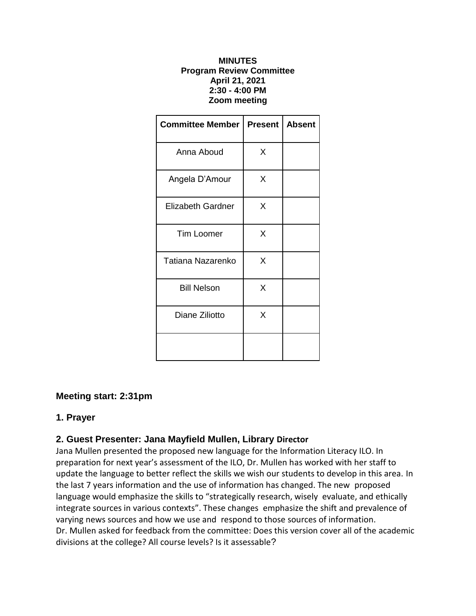#### **MINUTES Program Review Committee April 21, 2021 2:30 - 4:00 PM Zoom meeting**

| <b>Committee Member</b>  | <b>Present</b> | <b>Absent</b> |
|--------------------------|----------------|---------------|
| Anna Aboud               | X              |               |
| Angela D'Amour           | Χ              |               |
| <b>Elizabeth Gardner</b> | X              |               |
| <b>Tim Loomer</b>        | X              |               |
| Tatiana Nazarenko        | X              |               |
| <b>Bill Nelson</b>       | X              |               |
| Diane Ziliotto           | X              |               |
|                          |                |               |

## **Meeting start: 2:31pm**

## **1. Prayer**

# **2. Guest Presenter: Jana Mayfield Mullen, Library Director**

Jana Mullen presented the proposed new language for the Information Literacy ILO. In preparation for next year's assessment of the ILO, Dr. Mullen has worked with her staff to update the language to better reflect the skills we wish our students to develop in this area. In the last 7 years information and the use of information has changed. The new proposed language would emphasize the skills to "strategically research, wisely evaluate, and ethically integrate sources in various contexts". These changes emphasize the shift and prevalence of varying news sources and how we use and respond to those sources of information. Dr. Mullen asked for feedback from the committee: Does this version cover all of the academic divisions at the college? All course levels? Is it assessable?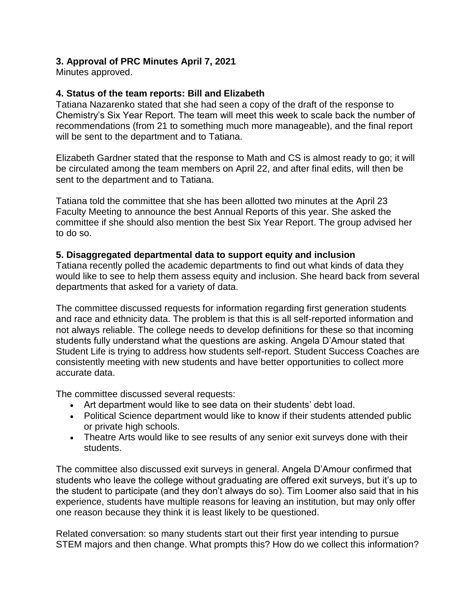# **3. Approval of PRC Minutes April 7, 2021**

Minutes approved.

## **4. Status of the team reports: Bill and Elizabeth**

Tatiana Nazarenko stated that she had seen a copy of the draft of the response to Chemistry's Six Year Report. The team will meet this week to scale back the number of recommendations (from 21 to something much more manageable), and the final report will be sent to the department and to Tatiana.

Elizabeth Gardner stated that the response to Math and CS is almost ready to go; it will be circulated among the team members on April 22, and after final edits, will then be sent to the department and to Tatiana.

Tatiana told the committee that she has been allotted two minutes at the April 23 Faculty Meeting to announce the best Annual Reports of this year. She asked the committee if she should also mention the best Six Year Report. The group advised her to do so.

### **5. Disaggregated departmental data to support equity and inclusion**

Tatiana recently polled the academic departments to find out what kinds of data they would like to see to help them assess equity and inclusion. She heard back from several departments that asked for a variety of data.

The committee discussed requests for information regarding first generation students and race and ethnicity data. The problem is that this is all self-reported information and not always reliable. The college needs to develop definitions for these so that incoming students fully understand what the questions are asking. Angela D'Amour stated that Student Life is trying to address how students self-report. Student Success Coaches are consistently meeting with new students and have better opportunities to collect more accurate data.

The committee discussed several requests:

- Art department would like to see data on their students' debt load.
- Political Science department would like to know if their students attended public or private high schools.
- Theatre Arts would like to see results of any senior exit surveys done with their students.

The committee also discussed exit surveys in general. Angela D'Amour confirmed that students who leave the college without graduating are offered exit surveys, but it's up to the student to participate (and they don't always do so). Tim Loomer also said that in his experience, students have multiple reasons for leaving an institution, but may only offer one reason because they think it is least likely to be questioned.

Related conversation: so many students start out their first year intending to pursue STEM majors and then change. What prompts this? How do we collect this information?